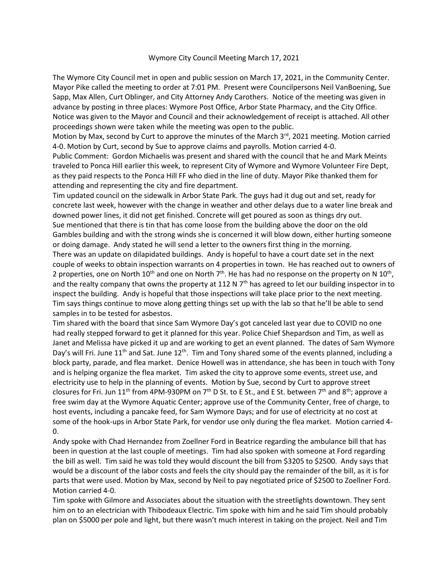## Wymore City Council Meeting March 17, 2021

The Wymore City Council met in open and public session on March 17, 2021, in the Community Center. Mayor Pike called the meeting to order at 7:01 PM. Present were Councilpersons Neil VanBoening, Sue Sapp, Max Allen, Curt Oblinger, and City Attorney Andy Carothers. Notice of the meeting was given in advance by posting in three places: Wymore Post Office, Arbor State Pharmacy, and the City Office. Notice was given to the Mayor and Council and their acknowledgement of receipt is attached. All other proceedings shown were taken while the meeting was open to the public.

Motion by Max, second by Curt to approve the minutes of the March 3<sup>rd</sup>, 2021 meeting. Motion carried 4-0. Motion by Curt, second by Sue to approve claims and payrolls. Motion carried 4-0.

Public Comment: Gordon Michaelis was present and shared with the council that he and Mark Meints traveled to Ponca Hill earlier this week, to represent City of Wymore and Wymore Volunteer Fire Dept, as they paid respects to the Ponca Hill FF who died in the line of duty. Mayor Pike thanked them for attending and representing the city and fire department.

Tim updated council on the sidewalk in Arbor State Park. The guys had it dug out and set, ready for concrete last week, however with the change in weather and other delays due to a water line break and downed power lines, it did not get finished. Concrete will get poured as soon as things dry out. Sue mentioned that there is tin that has come loose from the building above the door on the old Gambles building and with the strong winds she is concerned it will blow down, either hurting someone or doing damage. Andy stated he will send a letter to the owners first thing in the morning. There was an update on dilapidated buildings. Andy is hopeful to have a court date set in the next couple of weeks to obtain inspection warrants on 4 properties in town. He has reached out to owners of 2 properties, one on North 10<sup>th</sup> and one on North 7<sup>th</sup>. He has had no response on the property on N 10<sup>th</sup>, and the realty company that owns the property at 112 N 7<sup>th</sup> has agreed to let our building inspector in to inspect the building. Andy is hopeful that those inspections will take place prior to the next meeting. Tim says things continue to move along getting things set up with the lab so that he'll be able to send samples in to be tested for asbestos.

Tim shared with the board that since Sam Wymore Day's got canceled last year due to COVID no one had really stepped forward to get it planned for this year. Police Chief Shepardson and Tim, as well as Janet and Melissa have picked it up and are working to get an event planned. The dates of Sam Wymore Day's will Fri. June  $11<sup>th</sup>$  and Sat. June  $12<sup>th</sup>$ . Tim and Tony shared some of the events planned, including a block party, parade, and flea market. Denice Howell was in attendance, she has been in touch with Tony and is helping organize the flea market. Tim asked the city to approve some events, street use, and electricity use to help in the planning of events. Motion by Sue, second by Curt to approve street closures for Fri. Jun 11<sup>th</sup> from 4PM-930PM on 7<sup>th</sup> D St. to E St., and E St. between 7<sup>th</sup> and 8<sup>th</sup>; approve a free swim day at the Wymore Aquatic Center; approve use of the Community Center, free of charge, to host events, including a pancake feed, for Sam Wymore Days; and for use of electricity at no cost at some of the hook-ups in Arbor State Park, for vendor use only during the flea market. Motion carried 4- 0.

Andy spoke with Chad Hernandez from Zoellner Ford in Beatrice regarding the ambulance bill that has been in question at the last couple of meetings. Tim had also spoken with someone at Ford regarding the bill as well. Tim said he was told they would discount the bill from \$3205 to \$2500. Andy says that would be a discount of the labor costs and feels the city should pay the remainder of the bill, as it is for parts that were used. Motion by Max, second by Neil to pay negotiated price of \$2500 to Zoellner Ford. Motion carried 4-0.

Tim spoke with Gilmore and Associates about the situation with the streetlights downtown. They sent him on to an electrician with Thibodeaux Electric. Tim spoke with him and he said Tim should probably plan on \$5000 per pole and light, but there wasn't much interest in taking on the project. Neil and Tim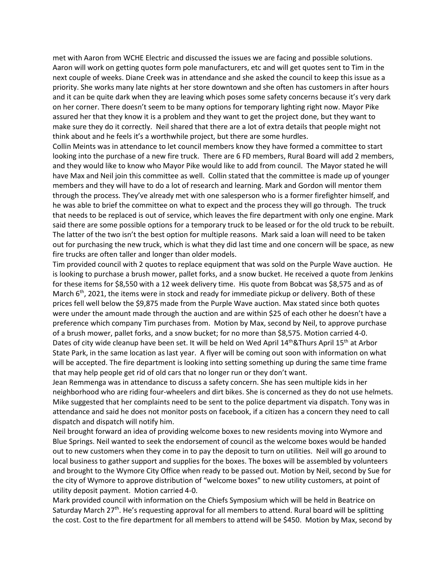met with Aaron from WCHE Electric and discussed the issues we are facing and possible solutions. Aaron will work on getting quotes form pole manufacturers, etc and will get quotes sent to Tim in the next couple of weeks. Diane Creek was in attendance and she asked the council to keep this issue as a priority. She works many late nights at her store downtown and she often has customers in after hours and it can be quite dark when they are leaving which poses some safety concerns because it's very dark on her corner. There doesn't seem to be many options for temporary lighting right now. Mayor Pike assured her that they know it is a problem and they want to get the project done, but they want to make sure they do it correctly. Neil shared that there are a lot of extra details that people might not think about and he feels it's a worthwhile project, but there are some hurdles.

Collin Meints was in attendance to let council members know they have formed a committee to start looking into the purchase of a new fire truck. There are 6 FD members, Rural Board will add 2 members, and they would like to know who Mayor Pike would like to add from council. The Mayor stated he will have Max and Neil join this committee as well. Collin stated that the committee is made up of younger members and they will have to do a lot of research and learning. Mark and Gordon will mentor them through the process. They've already met with one salesperson who is a former firefighter himself, and he was able to brief the committee on what to expect and the process they will go through. The truck that needs to be replaced is out of service, which leaves the fire department with only one engine. Mark said there are some possible options for a temporary truck to be leased or for the old truck to be rebuilt. The latter of the two isn't the best option for multiple reasons. Mark said a loan will need to be taken out for purchasing the new truck, which is what they did last time and one concern will be space, as new fire trucks are often taller and longer than older models.

Tim provided council with 2 quotes to replace equipment that was sold on the Purple Wave auction. He is looking to purchase a brush mower, pallet forks, and a snow bucket. He received a quote from Jenkins for these items for \$8,550 with a 12 week delivery time. His quote from Bobcat was \$8,575 and as of March 6<sup>th</sup>, 2021, the items were in stock and ready for immediate pickup or delivery. Both of these prices fell well below the \$9,875 made from the Purple Wave auction. Max stated since both quotes were under the amount made through the auction and are within \$25 of each other he doesn't have a preference which company Tim purchases from. Motion by Max, second by Neil, to approve purchase of a brush mower, pallet forks, and a snow bucket; for no more than \$8,575. Motion carried 4-0. Dates of city wide cleanup have been set. It will be held on Wed April 14<sup>th</sup>&Thurs April 15<sup>th</sup> at Arbor State Park, in the same location as last year. A flyer will be coming out soon with information on what will be accepted. The fire department is looking into setting something up during the same time frame that may help people get rid of old cars that no longer run or they don't want.

Jean Remmenga was in attendance to discuss a safety concern. She has seen multiple kids in her neighborhood who are riding four-wheelers and dirt bikes. She is concerned as they do not use helmets. Mike suggested that her complaints need to be sent to the police department via dispatch. Tony was in attendance and said he does not monitor posts on facebook, if a citizen has a concern they need to call dispatch and dispatch will notify him.

Neil brought forward an idea of providing welcome boxes to new residents moving into Wymore and Blue Springs. Neil wanted to seek the endorsement of council as the welcome boxes would be handed out to new customers when they come in to pay the deposit to turn on utilities. Neil will go around to local business to gather support and supplies for the boxes. The boxes will be assembled by volunteers and brought to the Wymore City Office when ready to be passed out. Motion by Neil, second by Sue for the city of Wymore to approve distribution of "welcome boxes" to new utility customers, at point of utility deposit payment. Motion carried 4-0.

Mark provided council with information on the Chiefs Symposium which will be held in Beatrice on Saturday March 27<sup>th</sup>. He's requesting approval for all members to attend. Rural board will be splitting the cost. Cost to the fire department for all members to attend will be \$450. Motion by Max, second by